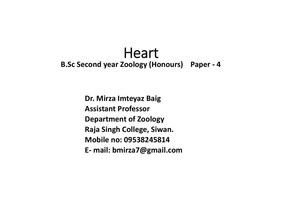# **Heart B.Sc Second year Zoology (Honours) Paper ‐ 4**

**Dr. Mirza Imteyaz Baig Assistant ProfessorDepartment of Zoology Raja Singh College, Siwan. Mobile no: 09538245814E‐ mail: bmirza7@gmail.com**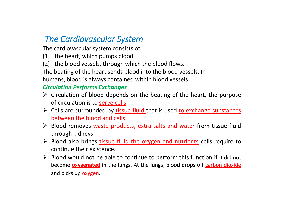## *The Cardiovascular System*

The cardiovascular system consists of:

- (1) the heart, which pumps blood
- (2) the blood vessels, through which the blood flows.

The beating of the heart sends blood into the blood vessels. In humans, blood is always contained within blood vessels.

#### *Circulation Performs Exchanges*

- $\triangleright$  Circulation of blood depends on the beating of the heart, the purpose of circulation is to serve cells.
- Exteed Cells are surrounded by tissue fluid that is used to exchange substances between the blood and cells.
- > Blood removes waste products, extra salts and water from tissue fluid through kidneys.
- > Blood also brings *tissue fluid the oxygen and nutrients* cells require to continue their existence.
- $\triangleright$  Blood would not be able to continue to perform this function if it did not become **oxygenated** in the lungs. At the lungs, blood drops off carbon dioxide and picks up oxygen.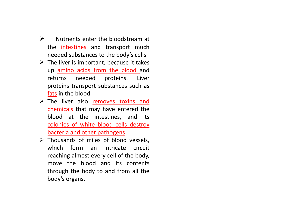- $\blacktriangleright$  Nutrients enter the bloodstream at the <u>intestines</u> and transport much needed substances to the body's cells.
- $\triangleright$  The liver is important, because it takes up amino acids from the blood and returns needed proteins. Liver proteins transport substances such as fats in the blood.
- $\triangleright$  The liver also removes toxins and chemicals that may have entered the blood at the intestines, and its colonies of white blood cells destroy bacteria and other pathogens.
- $\triangleright$  Thousands of miles of blood vessels, which form an intricate circuit reaching almost every cell of the body, move the blood and its contents through the body to and from all the body's organs.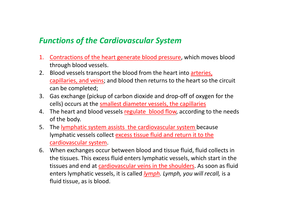### *Functions of the Cardiovascular System*

- 1. Contractions of the heart generate blood pressure, which moves blood through blood vessels.
- 2. Blood vessels transport the blood from the heart into arteries, capillaries, and veins; and blood then returns to the heart so the circuit can be completed;
- 3. Gas exchange (pickup of carbon dioxide and drop‐off of oxygen for the cells) occurs at the smallest diameter vessels, the capillaries
- 4. The heart and blood vessels regulate blood flow, according to the needs of the body.
- 5. The lymphatic system assists the cardiovascular system because lymphatic vessels collect excess tissue fluid and return it to the cardiovascular system.
- 6. When exchanges occur between blood and tissue fluid, fluid collects in the tissues. This excess fluid enters lymphatic vessels, which start in the tissues and end at cardiovascular veins in the shoulders. As soon as fluid enters lymphatic vessels, it is called *lymph. Lymph, you will recall,* is a fluid tissue, as is blood.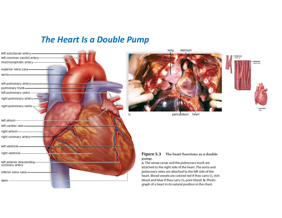#### *The Heart Is a Double Pump*





#### Figure 5.3 The heart functions as a double pump.

a. The venae cavae and the pulmonary trunk are attached to the right side of the heart. The aorta and pulmonary veins are attached to the left side of the heart. Blood vessels are colored red if they carry O<sub>2</sub>-rich blood and blue if they carry O<sub>2</sub>-poor blood. **b.** Photograph of a heart in its natural position in the chest.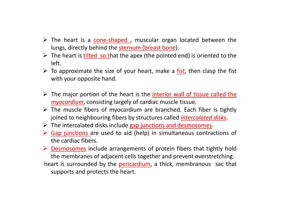- > The heart is a cone-shaped, muscular organ located between the lungs, directly behind the sternum (breast bone).
- $\triangleright$  The heart is **tilted so t**hat the apex (the pointed end) is oriented to the left.
- $\triangleright$  To approximate the size of your heart, make a fist, then clasp the fist with your opposite hand.
- > The major portion of the heart is the *interior wall of tissue called the myocardium*, consisting largely of cardiac muscle tissue.
- $\triangleright$  The muscle fibers of myocardium are branched. Each fiber is tightly joined to neighbouring fibers by structures called *intercalated disks*.
- $\triangleright$  The intercalated disks include gap junctions and desmosomes.
- $\triangleright$  Gap junctions are used to aid (help) in simultaneous contractions of the cardiac fibers.
- $\triangleright$  Desmosomes include arrangements of protein fibers that tightly hold the membranes of adjacent cells together and prevent overstretching.
- heart is surrounded by the pericardium, a thick, membranous sac that supports and protects the heart.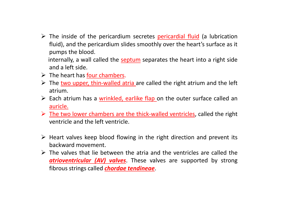- > The inside of the pericardium secretes pericardial fluid (a lubrication fluid), and the pericardium slides smoothly over the heart's surface as it pumps the blood.
	- internally, <sup>a</sup> wall called the septum separates the heart into <sup>a</sup> right side and <sup>a</sup> left side.
- $\triangleright$  The heart has four chambers.
- ▶ The two upper, thin-walled atria are called the right atrium and the left atrium.
- $\triangleright$  Each atrium has a wrinkled, earlike flap on the outer surface called an auricle.
- ▶ The two lower chambers are the thick-walled ventricles, called the right ventricle and the left ventricle.
- $\triangleright$  Heart valves keep blood flowing in the right direction and prevent its backward movement.
- $\triangleright$  The valves that lie between the atria and the ventricles are called the *atrioventricular (AV) valves*. These valves are supported by strong fibrous strings called *chordae tendineae*.